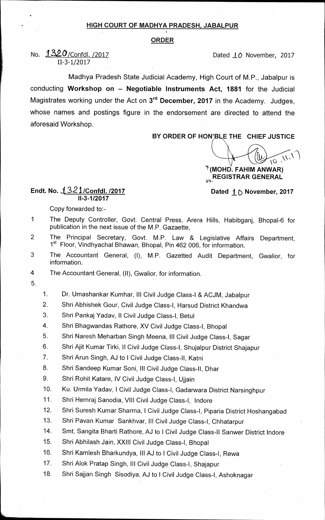## **HIGH COURT OF MADHYA PRADESH, JABALPUR**

## **ORDER**

## **No.**  $1320$ /Confdl. /2017 *Dated IO* November, 2017 **11-3-1/2017**

**Madhya Pradesh State Judicial Academy, High Court of M.P., Jabalpur is conducting Workshop on — Negotiable Instruments Act, 1881 for the Judicial Magistrates working under the Act on 3rdDecember, 2017 in the Academy. Judges, whose names and postings figure in the endorsement are directed to attend the aforesaid Workshop.** 

**BY ORDER OF HON'BLE THE CHIEF JUSTICE** 

 $\bigcap_{i=1}^{n}$ 

**/(MOHD. FAHIM ANWAR) REGISTRAR GENERAL** 

## **Endt. No. 132 1/Confdl. /2017 Dated lb November, 2017 11-3-1/2017**

**Copy forwarded to:-** 

- **1 The Deputy Controller, Govt. Central Press, Arera Hills, Habibganj, Bhopal-6 for publication in the next issue of the M.P. Gazaette,**
- **2 The Principal Secretary, Govt. M.P. Law & Legislative Affairs Department, 1st Floor, Vindhyachal Bhawan, Bhopal, Pin 462 006, for information.**
- **3 The Accountant General, (I), M.P. Gazetted Audit Department, Gwalior, for information.**

**4 The Accountant General, (II), Gwalior, for information.** 

- **5.**
- **1. Dr. Umashankar Kumhar, III Civil Judge Class-I & ACJM, Jabalpur**
- **2. Shri Abhishek Gour, Civil Judge Class-I, Harsud District Khandwa**
- **3. Shri Pankaj Yadav, II Civil Judge Class-I, Betul**
- **4. Shri Bhagwandas Rathore, XV Civil Judge Class-I, Bhopal**
- **5. Shri Naresh Meharban Singh Meena, III Civil Judge Class-I, Sagar**
- **6. Shri Ajit Kumar Tirki, II Civil Judge Class-I, Shujalpur District Shajapur**
- **7. Shri Arun Singh, AJ to I Civil Judge Class-II, Katni**
- **8. Shri Sandeep Kumar Soni, III Civil Judge Class-II, Dhar**
- **9. Shri Rohit Katare, IV Civil Judge Class-I, Ujjain**
- **10. Ku. Urmila Yadav, I Civil Judge Class-I, Gadarwara District Narsinghpur**
- **11. Shri Hemraj Sanodia, VIII Civil Judge Class-I, lndore**
- **12. Shri Suresh Kumar Sharma, I Civil Judge Class-I, Piparia District Hoshangabad**
- **13. Shri Pavan Kumar Sankhvar, III Civil Judge Class-I, Chhatarpur**
- **14. Smt. Sangita Bharti Rathore, AJ to I Civil Judge Class-II Sanwer District Indore**
- **15. Shri Abhilash Jain, XXIII Civil Judge Class-I, Bhopal**
- **16. Shri Kamlesh Bharkundya, III AJ to I Civil Judge Class-I, Rewa**
- **17. Shri Alok Pratap Singh, III Civil Judge Class-I, Shajapur**
- **18. Shri Sajjan Singh Sisodiya, AJ to I Civil Judge Class-I, Ashoknagar**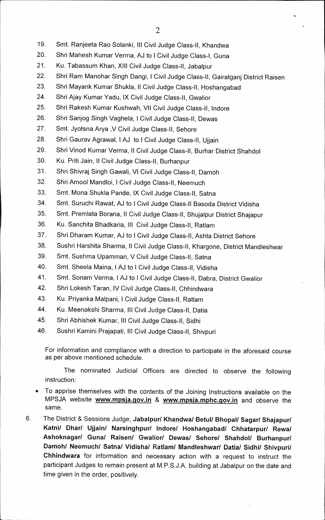- **19. Smt. Ranjeeta Rao Solanki, III Civil Judge Class-II, Khandwa**
- **20. Shri Mahesh Kumar Verma, AJ to I Civil Judge Class-I, Guna**
- **21. Ku. Tabassum Khan, XIII Civil Judge Class-II, Jabalpur**
- **22. Shri Ram Manohar Singh Dangi, I Civil Judge Class-II, Gairatganj District Raisen**
- **23. Shri Mayank Kumar Shukla, II Civil Judge Class-II, Hoshangabad**
- **24. Shri Ajay Kumar Yadu, IX Civil Judge Class-II, Gwalior**
- **25. Shri Rakesh Kumar Kushwah, VII Civil Judge Class-II, lndore**
- **26. Shri Sanjog Singh Vaghela, I Civil Judge Class-II, Dewas**
- **27. Smt. Jyotsna Arya ,V Civil Judge Class-II, Sehore**
- **28. Shri Gaurav Agrawal, 1 AJ to I Civil Judge Class-II, Ujjain**
- **29. Shri Vinod Kumar Verma, II Civil Judge Class-II, Burhar District Shahdol**
- **30. Ku. Priti Jain, II Civil Judge Class-II, Burhanpur**
- **31. Shri Shivraj Singh Gawali, VI Civil Judge Class-II, Damoh**
- **32. Shri Amool Mandloi, I Civil Judge Class-II, Neemuch**
- **33. Smt. Mona Shukla Pande, IX Civil Judge Class-II, Satna**
- **34. Smt. Suruchi Rawat, AJ to I Civil Judge Class-II Basoda District Vidisha**
- **35. Smt. Premlata Borana, II Civil Judge Class-II, Shujalpur District Shajapur**
- **36. Ku. Sanchita Bhadkaria, III Civil Judge Class-II, Ratlam**
- **37. Shri Dharam Kumar, AJ to I Civil Judge Class-II, Ashta District Sehore**
- **38. Sushri Harshita Sharma, II Civil Judge Class-II, Khargone, District Mandleshwar**
- **39. Smt. Sushma Upamman, V Civil Judge Class-II, Satna**
- **40. Smt. Sheela Maina, I AJ to I Civil Judge Class-II, Vidisha**
- **41. Smt. Sonam Verma, I AJ to I Civil Judge Class-II, Dabra, District Gwalior**
- **42. Shri Lokesh Taran, IV Civil Judge Class-II, Chhindwara**
- **43. Ku. Priyanka Malpani, I Civil Judge Class-II, Ratlam**
- **44. Ku. Meenakshi Sharma, Ill Civil Judge Class-II, Datia**
- **45. Shri Abhishek Kumar, Ill Civil Judge Class-II, Sidhi**
- **46. Sushri Kamini Prajapati, Ill Civil Judge Class-II, Shivpuri**

**For information and compliance with a direction to participate in the aforesaid course as per above mentioned schedule.** 

**The nominated Judicial Officers are directed to observe the following instruction:** 

- **To apprise themselves with the contents of the Joining Instructions available on the**  MPSJA website **www.mpsja.gov.in** & www.mpsja.mphc.gov.in and observe the **same.**
- 6. The District & Sessions Judge, Jabalpur/ Khandwa/ Betul/ Bhopal/ Sagar/ Shajapur/ **Katni/ Dhar/ Ujjain/ Narsinghpur/ Indore/ Hoshangabad/ Chhatarpur/ Rewa/ Ashoknagar/ Guna/ Raisen/ Gwalior/ Dewas/ Sehore/ Shahdol/ Burhanpur/**  Damoh/ Neemuch/ Satna/ Vidisha/ Ratlam/ Mandleshwar/ Datia/ Sidhi/ Shivpuri/ **Chhindwara for information and necessary action with a request to instruct the participant Judges to remain present at M.P.S.J.A. building at Jabalpur on the date and time given in the order, positively.**